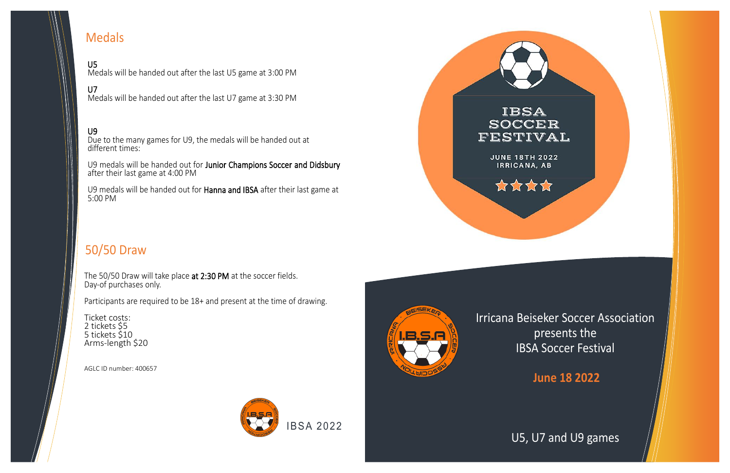

Irricana Beiseker Soccer Association presents the IBSA Soccer Festival

#### **June 18 2022**



### U5, U7 and U9 games

U5 Medals will be handed out after the last U5 game at 3:00 PM

#### U7

Medals will be handed out after the last U7 game at 3:30 PM

#### U9

Due to the many games for U9, the medals will be handed out at different times:

U9 medals will be handed out for Junior Champions Soccer and Didsbury after their last game at 4:00 PM

U9 medals will be handed out for Hanna and IBSA after their last game at 5:00 PM



# Medals

# 50/50 Draw

The 50/50 Draw will take place at 2:30 PM at the soccer fields. Day-of purchases only.

Participants are required to be 18+ and present at the time of drawing.

Ticket costs: 2 tickets \$5 5 tickets \$10 Arms-length \$20

AGLC ID number: 400657